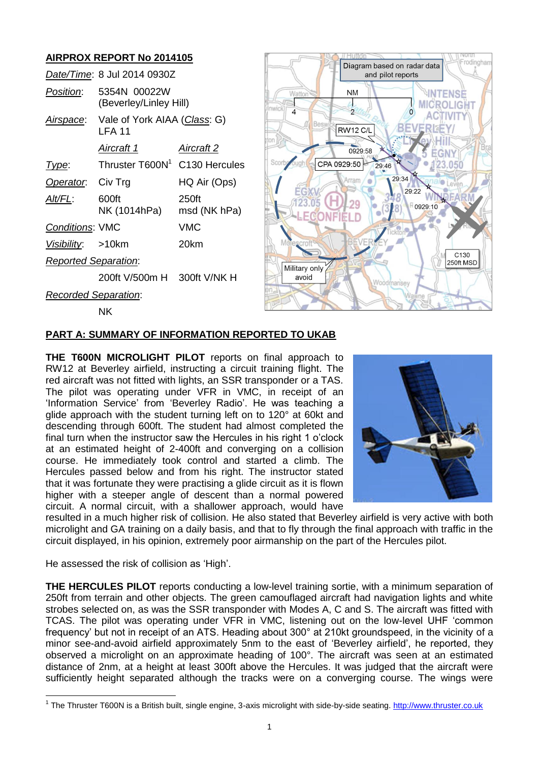# **AIRPROX REPORT No 2014105**

NK

|                             | Date/Time: 8 Jul 2014 0930Z               |                       |
|-----------------------------|-------------------------------------------|-----------------------|
| Position:                   | 5354N 00022W<br>(Beverley/Linley Hill)    |                       |
| Airspace:                   | Vale of York AIAA (Class: G)<br>I FA 11   |                       |
|                             | Aircraft 1                                | Aircraft 2            |
| l ype:                      | Thruster T600N <sup>1</sup> C130 Hercules |                       |
| Operator.                   | Civ Trg                                   | HQ Air (Ops)          |
| Alt/FL:                     | 600ft<br>NK (1014hPa)                     | 250ft<br>msd (NK hPa) |
| <b>Conditions: VMC</b>      |                                           | <b>VMC</b>            |
| Visibility: >10km           |                                           | 20km                  |
| <b>Reported Separation:</b> |                                           |                       |
|                             | 200ft V/500m H 300ft V/NK H               |                       |
| Recorded Separation:        |                                           |                       |



### **PART A: SUMMARY OF INFORMATION REPORTED TO UKAB**

**THE T600N MICROLIGHT PILOT** reports on final approach to RW12 at Beverley airfield, instructing a circuit training flight. The red aircraft was not fitted with lights, an SSR transponder or a TAS. The pilot was operating under VFR in VMC, in receipt of an 'Information Service' from 'Beverley Radio'. He was teaching a glide approach with the student turning left on to 120° at 60kt and descending through 600ft. The student had almost completed the final turn when the instructor saw the Hercules in his right 1 o'clock at an estimated height of 2-400ft and converging on a collision course. He immediately took control and started a climb. The Hercules passed below and from his right. The instructor stated that it was fortunate they were practising a glide circuit as it is flown higher with a steeper angle of descent than a normal powered circuit. A normal circuit, with a shallower approach, would have



resulted in a much higher risk of collision. He also stated that Beverley airfield is very active with both microlight and GA training on a daily basis, and that to fly through the final approach with traffic in the circuit displayed, in his opinion, extremely poor airmanship on the part of the Hercules pilot.

He assessed the risk of collision as 'High'.

 $\overline{a}$ 

**THE HERCULES PILOT** reports conducting a low-level training sortie, with a minimum separation of 250ft from terrain and other objects. The green camouflaged aircraft had navigation lights and white strobes selected on, as was the SSR transponder with Modes A, C and S. The aircraft was fitted with TCAS. The pilot was operating under VFR in VMC, listening out on the low-level UHF 'common frequency' but not in receipt of an ATS. Heading about 300° at 210kt groundspeed, in the vicinity of a minor see-and-avoid airfield approximately 5nm to the east of 'Beverley airfield', he reported, they observed a microlight on an approximate heading of 100°. The aircraft was seen at an estimated distance of 2nm, at a height at least 300ft above the Hercules. It was judged that the aircraft were sufficiently height separated although the tracks were on a converging course. The wings were

<sup>&</sup>lt;sup>1</sup> The Thruster T600N is a British built, single engine, 3-axis microlight with side-by-side seating. [http://www.thruster.co.uk](http://www.thruster.co.uk/)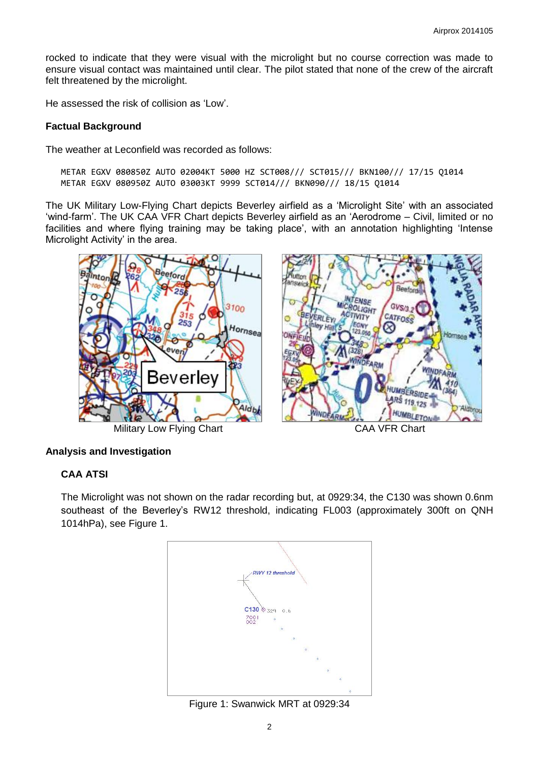rocked to indicate that they were visual with the microlight but no course correction was made to ensure visual contact was maintained until clear. The pilot stated that none of the crew of the aircraft felt threatened by the microlight.

He assessed the risk of collision as 'Low'.

#### **Factual Background**

The weather at Leconfield was recorded as follows:

METAR EGXV 080850Z AUTO 02004KT 5000 HZ SCT008/// SCT015/// BKN100/// 17/15 Q1014 METAR EGXV 080950Z AUTO 03003KT 9999 SCT014/// BKN090/// 18/15 Q1014

The UK Military Low-Flying Chart depicts Beverley airfield as a 'Microlight Site' with an associated 'wind-farm'. The UK CAA VFR Chart depicts Beverley airfield as an 'Aerodrome – Civil, limited or no facilities and where flying training may be taking place', with an annotation highlighting 'Intense Microlight Activity' in the area.



# **Analysis and Investigation**

#### **CAA ATSI**

The Microlight was not shown on the radar recording but, at 0929:34, the C130 was shown 0.6nm southeast of the Beverley's RW12 threshold, indicating FL003 (approximately 300ft on QNH 1014hPa), see Figure 1.



Figure 1: Swanwick MRT at 0929:34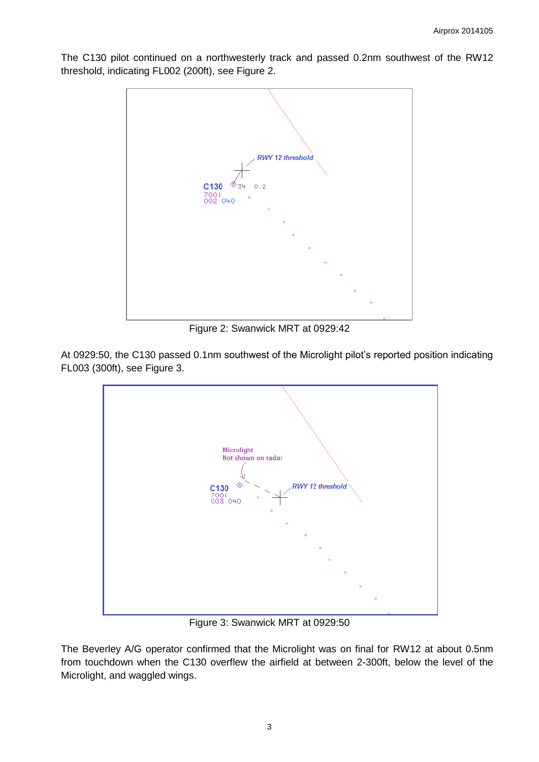The C130 pilot continued on a northwesterly track and passed 0.2nm southwest of the RW12 threshold, indicating FL002 (200ft), see Figure 2.



Figure 2: Swanwick MRT at 0929:42

At 0929:50, the C130 passed 0.1nm southwest of the Microlight pilot's reported position indicating FL003 (300ft), see Figure 3.



Figure 3: Swanwick MRT at 0929:50

The Beverley A/G operator confirmed that the Microlight was on final for RW12 at about 0.5nm from touchdown when the C130 overflew the airfield at between 2-300ft, below the level of the Microlight, and waggled wings.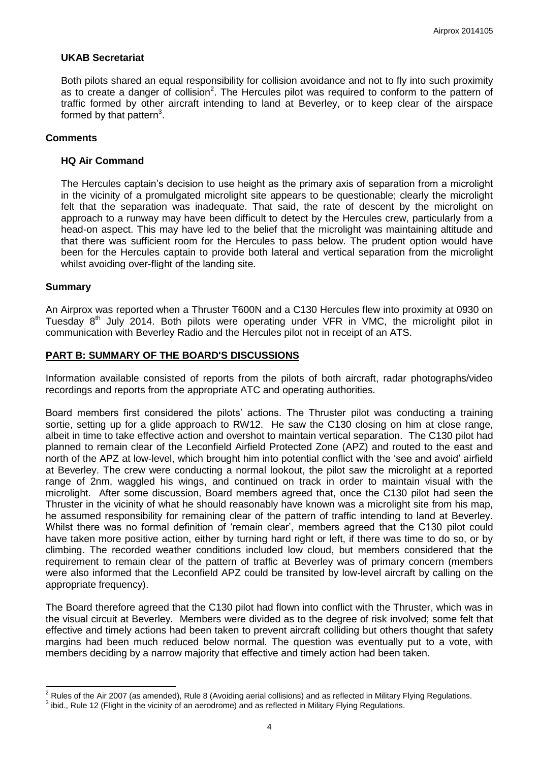#### **UKAB Secretariat**

Both pilots shared an equal responsibility for collision avoidance and not to fly into such proximity as to create a danger of collision<sup>2</sup>. The Hercules pilot was required to conform to the pattern of traffic formed by other aircraft intending to land at Beverley, or to keep clear of the airspace formed by that pattern<sup>3</sup>.

#### **Comments**

#### **HQ Air Command**

The Hercules captain's decision to use height as the primary axis of separation from a microlight in the vicinity of a promulgated microlight site appears to be questionable; clearly the microlight felt that the separation was inadequate. That said, the rate of descent by the microlight on approach to a runway may have been difficult to detect by the Hercules crew, particularly from a head-on aspect. This may have led to the belief that the microlight was maintaining altitude and that there was sufficient room for the Hercules to pass below. The prudent option would have been for the Hercules captain to provide both lateral and vertical separation from the microlight whilst avoiding over-flight of the landing site.

#### **Summary**

 $\overline{\phantom{a}}$ 

An Airprox was reported when a Thruster T600N and a C130 Hercules flew into proximity at 0930 on Tuesday  $8<sup>th</sup>$  July 2014. Both pilots were operating under VFR in VMC, the microlight pilot in communication with Beverley Radio and the Hercules pilot not in receipt of an ATS.

### **PART B: SUMMARY OF THE BOARD'S DISCUSSIONS**

Information available consisted of reports from the pilots of both aircraft, radar photographs/video recordings and reports from the appropriate ATC and operating authorities.

Board members first considered the pilots' actions. The Thruster pilot was conducting a training sortie, setting up for a glide approach to RW12. He saw the C130 closing on him at close range, albeit in time to take effective action and overshot to maintain vertical separation. The C130 pilot had planned to remain clear of the Leconfield Airfield Protected Zone (APZ) and routed to the east and north of the APZ at low-level, which brought him into potential conflict with the 'see and avoid' airfield at Beverley. The crew were conducting a normal lookout, the pilot saw the microlight at a reported range of 2nm, waggled his wings, and continued on track in order to maintain visual with the microlight. After some discussion, Board members agreed that, once the C130 pilot had seen the Thruster in the vicinity of what he should reasonably have known was a microlight site from his map, he assumed responsibility for remaining clear of the pattern of traffic intending to land at Beverley. Whilst there was no formal definition of 'remain clear', members agreed that the C130 pilot could have taken more positive action, either by turning hard right or left, if there was time to do so, or by climbing. The recorded weather conditions included low cloud, but members considered that the requirement to remain clear of the pattern of traffic at Beverley was of primary concern (members were also informed that the Leconfield APZ could be transited by low-level aircraft by calling on the appropriate frequency).

The Board therefore agreed that the C130 pilot had flown into conflict with the Thruster, which was in the visual circuit at Beverley. Members were divided as to the degree of risk involved; some felt that effective and timely actions had been taken to prevent aircraft colliding but others thought that safety margins had been much reduced below normal. The question was eventually put to a vote, with members deciding by a narrow majority that effective and timely action had been taken.

 $2$  Rules of the Air 2007 (as amended), Rule 8 (Avoiding aerial collisions) and as reflected in Military Flying Regulations.

 $^3$  ibid., Rule 12 (Flight in the vicinity of an aerodrome) and as reflected in Military Flying Regulations.